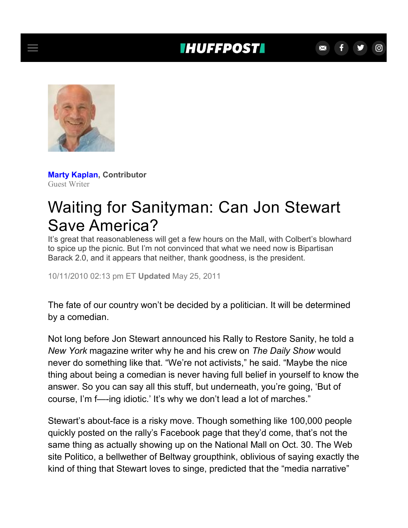

 $\overline{\bowtie}$ 



**[Marty Kaplan,](https://www.huffingtonpost.com/author/marty-kaplan) Contributor** Guest Writer

## Waiting for Sanityman: Can Jon Stewart Save America?

It's great that reasonableness will get a few hours on the Mall, with Colbert's blowhard to spice up the picnic. But I'm not convinced that what we need now is Bipartisan Barack 2.0, and it appears that neither, thank goodness, is the president.

10/11/2010 02:13 pm ET **Updated** May 25, 2011

The fate of our country won't be decided by a politician. It will be determined by a comedian.

Not long before Jon Stewart announced his Rally to Restore Sanity, he told a *New York* magazine writer why he and his crew on *The Daily Show* would never do something like that. "We're not activists," [he said.](http://nymag.com/arts/tv/profiles/68086/index4.html) "Maybe the nice thing about being a comedian is never having full belief in yourself to know the answer. So you can say all this stuff, but underneath, you're going, 'But of course, I'm f—-ing idiotic.' It's why we don't lead a lot of marches."

Stewart's about-face is a risky move. Though something like 100,000 people quickly posted on the rally's Facebook [page](http://www.facebook.com/event.php?eid=118856078167623&index=1%20%20) that they'd come, that's not the same thing as actually showing up on the National Mall on Oct. 30. The Web site Politico, a bellwether of Beltway groupthink, oblivious of saying exactly the kind of thing that Stewart loves to singe, [predicted](http://www.politico.com/click/stories/1009/five_questions_for_the_stewart_rally.html) that the "media narrative"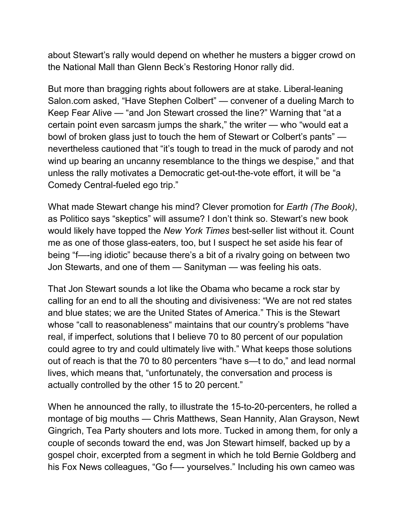about Stewart's rally would depend on whether he musters a bigger crowd on the National Mall than Glenn Beck's Restoring Honor rally did.

But more than bragging rights about followers are at stake. Liberal-leaning Salon.com [asked,](http://mobile.salon.com/mwt/feature/2010/09/21/stewart_rally_colbert_march_hubris/index.html) "Have Stephen Colbert" — convener of a dueling March to Keep Fear Alive — "and Jon Stewart crossed the line?" Warning that "at a certain point even sarcasm jumps the shark," the writer — who "would eat a bowl of broken glass just to touch the hem of Stewart or Colbert's pants" nevertheless cautioned that "it's tough to tread in the muck of parody and not wind up bearing an uncanny resemblance to the things we despise," and that unless the rally motivates a Democratic get-out-the-vote effort, it will be "a Comedy Central-fueled ego trip."

What made Stewart change his mind? Clever promotion for *[Earth \(The Book\)](http://www.nytimes.com/2010/09/16/books/16book.html)*, as Politico says "skeptics" will assume? I don't think so. Stewart's new book would likely have topped the *New York Times* best-seller list without it. Count me as one of those glass-eaters, too, but I suspect he set aside his fear of being "f—-ing idiotic" because there's a bit of a rivalry going on between two Jon Stewarts, and one of them — Sanityman — was feeling his oats.

That Jon Stewart sounds a lot like the Obama who became a rock star by [calling](http://www.youtube.com/watch?v=awQkJNVsgKM) for an end to all the shouting and divisiveness: "We are not red states and blue states; we are the United States of America." This is the Stewart whose ["call to reasonableness"](http://www.youtube.com/watch?v=awQkJNVsgKM) maintains that our country's problems "have real, if imperfect, solutions that I believe 70 to 80 percent of our population could agree to try and could ultimately live with." What keeps those solutions out of reach is that the 70 to 80 percenters "have s—t to do," and lead normal lives, which means that, "unfortunately, the conversation and process is actually controlled by the other 15 to 20 percent."

When he [announced](http://www.thedailyshow.com/watch/thu-september-16-2010/rally-to-restore-sanity-announcement) the rally, to illustrate the 15-to-20-percenters, he rolled a montage of big mouths — Chris Matthews, Sean Hannity, Alan Grayson, Newt Gingrich, Tea Party shouters and lots more. Tucked in among them, for only a couple of seconds toward the end, was Jon Stewart himself, backed up by a gospel choir, excerpted from a [segment](http://www.mediaite.com/tv/epic-jon-stewart-fox-news-is-truly-a-terrible-cynical-news-organization/) in which he told Bernie Goldberg and his Fox News colleagues, "Go f—- yourselves." Including his own cameo was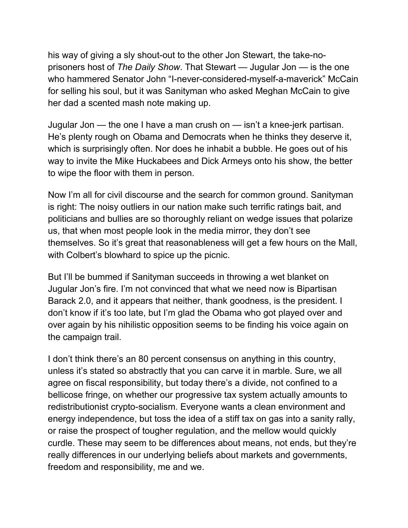his way of giving a sly shout-out to the other Jon Stewart, the take-noprisoners host of *The Daily Show*. That Stewart — Jugular Jon — is the one who [hammered](http://www.thedailyshow.com/watch/tue-april-24-2007/sen--john-mccain-pt--1) Senator John "I-never-considered-myself-a-maverick" McCain for selling his soul, but it was Sanityman who asked Meghan McCain to give her dad a scented mash note making up.

Jugular Jon — the one I have a man crush on — isn't a knee-jerk partisan. He's plenty rough on [Obama](http://latimesblogs.latimes.com/washington/2010/06/gulf-oil-disaster-jon-stewart-rips-obamas-tough-talk.html) and Democrats when he thinks they deserve it, which is surprisingly often. Nor does he inhabit a bubble. He goes out of his way to invite the Mike [Huckabees](http://www.thedailyshow.com/watch/tue-december-9-2008/mike-huckabee-pt--2) and Dick [Armeys](http://www.thedailyshow.com/watch/tue-august-17-2010/exclusive---dick-armey-extended-interview-pt--1) onto his show, the better to wipe the floor with them in person.

Now I'm all for civil discourse and the search for common ground. Sanityman is right: The noisy outliers in our nation make such terrific ratings bait, and politicians and bullies are so thoroughly reliant on wedge issues that polarize us, that when most people look in the media mirror, they don't see themselves. So it's great that reasonableness will get a few hours on the Mall, with Colbert's blowhard to spice up the picnic.

But I'll be bummed if Sanityman succeeds in throwing a wet blanket on Jugular Jon's fire. I'm not convinced that what we need now is Bipartisan Barack 2.0, and it appears that neither, thank goodness, is the president. I don't know if it's too late, but I'm glad the Obama who got played over and over again by his nihilistic opposition seems to be [finding his voice](http://content.usatoday.com/communities/theoval/post/2010/10/obama-to-college-students-election-will-say-a-lot-about-our-future/1) again on the campaign trail.

I don't think there's an 80 percent consensus on anything in this country, unless it's stated so abstractly that you can carve it in marble. Sure, we all agree on fiscal responsibility, but today there's a divide, not confined to a bellicose fringe, on whether our progressive tax system actually amounts to redistributionist crypto-socialism. Everyone wants a clean environment and energy independence, but toss the idea of a stiff tax on gas into a sanity rally, or raise the prospect of tougher regulation, and the mellow would quickly curdle. These may seem to be differences about means, not ends, but they're really differences in our underlying beliefs about markets and governments, freedom and responsibility, me and we.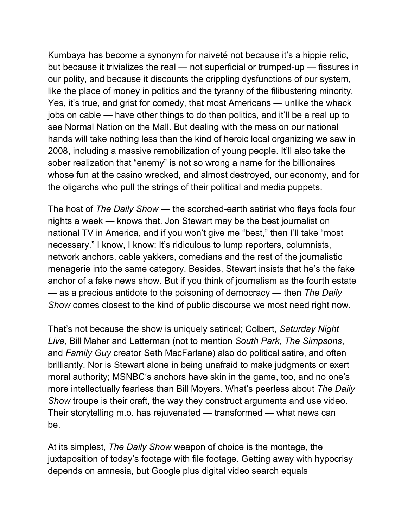Kumbaya has become a synonym for naiveté not because it's a hippie relic, but because it trivializes the real — not superficial or trumped-up — fissures in our polity, and because it discounts the crippling dysfunctions of our system, like the place of money in politics and the tyranny of the filibustering minority. Yes, it's true, and grist for comedy, that most Americans — unlike the whack jobs on cable — have other things to do than politics, and it'll be a real up to see Normal Nation on the Mall. But dealing with the mess on our national hands will take nothing less than the kind of heroic local organizing we saw in 2008, including a massive remobilization of young people. It'll also take the sober realization that "enemy" is not so wrong a name for the billionaires whose fun at the casino wrecked, and almost destroyed, our economy, and for the oligarchs who pull the strings of their political and media puppets.

The host of *The Daily Show* — the scorched-earth satirist who flays fools four nights a week — knows that. Jon Stewart may be the best journalist on national TV in America, and if you won't give me "best," then I'll take "most necessary." I know, I know: It's ridiculous to lump reporters, columnists, network anchors, cable yakkers, comedians and the rest of the journalistic menagerie into the same category. Besides, Stewart insists that he's the fake anchor of a fake news show. But if you think of journalism as the fourth estate — as a precious antidote to the poisoning of democracy — then *The Daily Show* comes closest to the kind of public discourse we most need right now.

That's not because the show is uniquely satirical; [Colbert,](http://www.colbertnation.com/home) *[Saturday Night](http://www.nbc.com/saturday-night-live/)  [Live](http://www.nbc.com/saturday-night-live/)*, [Bill Maher](http://www.hbo.com/real-time-with-bill-maher/index.html) and [Letterman](http://www.cbs.com/late_night/late_show/) (not to mention *[South Park](http://www.southparkstudios.com/)*, *[The Simpsons](http://www.thesimpsons.com/)*, and *Family Guy* creator [Seth MacFarlane\)](http://en.wikipedia.org/wiki/Seth_MacFarlane%20also) also do political satire, and often brilliantly. Nor is Stewart alone in being unafraid to make judgments or exert moral authority; [MSNBC'](http://www.msnbc.msn.com/id/3036677/)s [anchors](http://www.msnbc.msn.com/id/26315908/ns/msnbc_tv-rachel_maddow_show/) have skin in the game, too, and no one's more intellectually fearless than [Bill Moyers.](http://www.pbs.org/moyers/journal/index-flash.html) What's peerless about *The Daily Show* troupe is their craft, the way they construct arguments and use video. Their storytelling m.o. has rejuvenated — transformed — what news can  $be.$ 

At its simplest, *The Daily Show* weapon of choice is the montage, the juxtaposition of today's footage with file footage. Getting away with hypocrisy depends on amnesia, but Google plus digital video search equals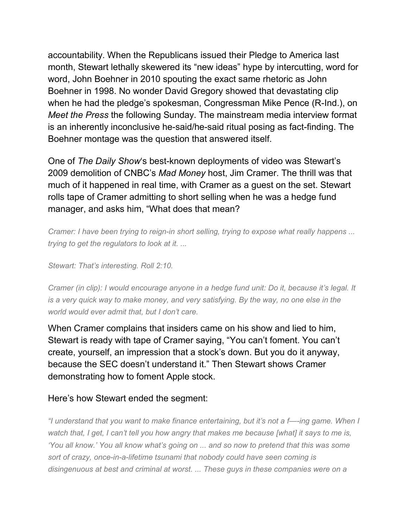accountability. When the Republicans issued their Pledge to America last month, Stewart lethally [skewered](http://www.thedailyshow.com/watch/thu-september-23-2010/postcards-from-the-pledge) its "new ideas" hype by intercutting, word for word, John Boehner in 2010 spouting the exact same rhetoric as John Boehner in 1998. No wonder David Gregory [showed](http://www.msnbc.msn.com/id/39352643/ns/meet_the_press-transcripts/) that devastating clip when he had the pledge's spokesman, Congressman Mike Pence (R-Ind.), on *Meet the Press* the following Sunday. The mainstream media interview format is an inherently inconclusive he-said/he-said ritual posing as fact-finding. The Boehner montage was the question that answered itself.

One of *The Daily Show*'s best-known deployments of video was Stewart's 2009 [demolition](http://www.thedailyshow.com/watch/thu-march-12-2009/jim-cramer-extended-interview-pt--1) of CNBC's *Mad Money* host, Jim Cramer. The thrill was that much of it happened in real time, with Cramer as a guest on the set. Stewart rolls tape of Cramer admitting to short selling when he was a hedge fund manager, and asks him, "What does that mean?

*Cramer: I have been trying to reign-in short selling, trying to expose what really happens ... trying to get the regulators to look at it. ...*

*Stewart: That's interesting. Roll 2:10.*

*Cramer (in clip): I would encourage anyone in a hedge fund unit: Do it, because it's legal. It is a very quick way to make money, and very satisfying. By the way, no one else in the world would ever admit that, but I don't care.*

When Cramer complains that insiders came on his show and lied to him, Stewart is ready with tape of Cramer saying, "You can't foment. You can't create, yourself, an impression that a stock's down. But you do it anyway, because the SEC doesn't understand it." Then Stewart shows Cramer demonstrating how to foment Apple stock.

## Here's how Stewart ended the segment:

*"I understand that you want to make finance entertaining, but it's not a f—-ing game. When I watch that, I get, I can't tell you how angry that makes me because [what] it says to me is, 'You all know.' You all know what's going on ... and so now to pretend that this was some sort of crazy, once-in-a-lifetime tsunami that nobody could have seen coming is disingenuous at best and criminal at worst. ... These guys in these companies were on a*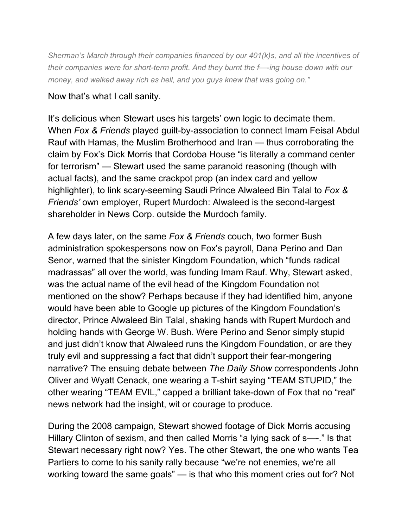*Sherman's March through their companies financed by our 401(k)s, and all the incentives of their companies were for short-term profit. And they burnt the f—-ing house down with our money, and walked away rich as hell, and you guys knew that was going on."*

## Now that's what I call sanity.

It's delicious when Stewart uses his targets' own logic to decimate them. When *Fox & Friends* played guilt-by-association to connect Imam Feisal Abdul Rauf with Hamas, the Muslim Brotherhood and Iran — thus corroborating the claim by Fox's Dick Morris that Cordoba House "is literally a command center for terrorism" — Stewart [used the same paranoid reasoning](http://www.huffingtonpost.com/2010/08/19/jon-stewart-mosque_n_688546.html) (though with actual facts), and the same crackpot prop (an index card and yellow highlighter), to link scary-seeming Saudi Prince Alwaleed Bin Talal to *Fox & Friends'* own employer, Rupert Murdoch: Alwaleed is the second-largest shareholder in News Corp. outside the Murdoch family.

A few days later, on the same *Fox & Friends* couch, two former Bush administration spokespersons now on Fox's payroll, Dana Perino and Dan Senor, warned that the sinister Kingdom Foundation, which "funds radical madrassas" all over the world, was funding Imam Rauf. Why, Stewart [asked,](http://www.thedailyshow.com/watch/mon-august-23-2010/the-parent-company-trap) was the actual name of the evil head of the Kingdom Foundation not mentioned on the show? Perhaps because if they had identified him, anyone would have been able to Google up pictures of the Kingdom Foundation's director, Prince Alwaleed Bin Talal, shaking hands with Rupert Murdoch and holding hands with George W. Bush. Were Perino and Senor simply stupid and just didn't know that Alwaleed runs the Kingdom Foundation, or are they truly evil and suppressing a fact that didn't support their fear-mongering narrative? The ensuing debate between *The Daily Show* correspondents John Oliver and Wyatt Cenack, one wearing a T-shirt saying "TEAM STUPID," the other wearing "TEAM EVIL," capped a brilliant take-down of Fox that no "real" news network had the insight, wit or courage to produce.

During the 2008 campaign, Stewart showed footage of Dick Morris accusing Hillary Clinton of sexism, and then [called](http://www.huffingtonpost.com/2008/09/04/jon-stewart-hits-karl-rov_n_123852.html) Morris "a lying sack of s—-." Is that Stewart necessary right now? Yes. The other Stewart, the one who wants Tea Partiers to come to his sanity rally because "we're not enemies, we're all working toward the same goals" — is that who this moment cries out for? Not